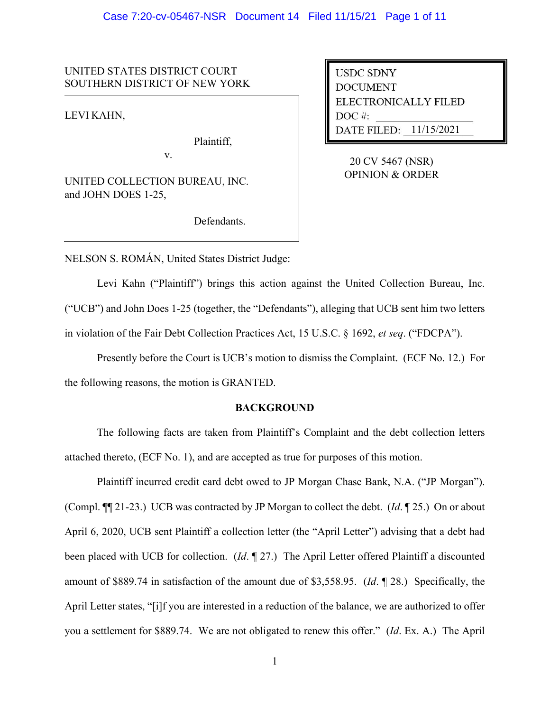#### Case 7:20-cv-05467-NSR Document 14 Filed 11/15/21 Page 1 of 11

# UNITED STATES DISTRICT COURT SOUTHERN DISTRICT OF NEW YORK

LEVI KAHN,

Plaintiff,

UNITED COLLECTION BUREAU, INC. and JOHN DOES 1-25,

v.

Defendants.

**USDC SDNY DOCUMENT** ELECTRONICALLY FILED  $DOC$ #: DATE FILED: 11/15/2021

20 CV 5467 (NSR) OPINION & ORDER

NELSON S. ROMÁN, United States District Judge:

Levi Kahn ("Plaintiff") brings this action against the United Collection Bureau, Inc. ("UCB") and John Does 1-25 (together, the "Defendants"), alleging that UCB sent him two letters in violation of the Fair Debt Collection Practices Act, 15 U.S.C. § 1692, *et seq*. ("FDCPA").

Presently before the Court is UCB's motion to dismiss the Complaint. (ECF No. 12.) For the following reasons, the motion is GRANTED.

## **BACKGROUND**

The following facts are taken from Plaintiff's Complaint and the debt collection letters attached thereto, (ECF No. 1), and are accepted as true for purposes of this motion.

Plaintiff incurred credit card debt owed to JP Morgan Chase Bank, N.A. ("JP Morgan"). (Compl. ¶¶ 21-23.) UCB was contracted by JP Morgan to collect the debt. (*Id*. ¶ 25.) On or about April 6, 2020, UCB sent Plaintiff a collection letter (the "April Letter") advising that a debt had been placed with UCB for collection. (*Id*. ¶ 27.) The April Letter offered Plaintiff a discounted amount of \$889.74 in satisfaction of the amount due of \$3,558.95. (*Id*. ¶ 28.) Specifically, the April Letter states, "[i]f you are interested in a reduction of the balance, we are authorized to offer you a settlement for \$889.74. We are not obligated to renew this offer." (*Id*. Ex. A.) The April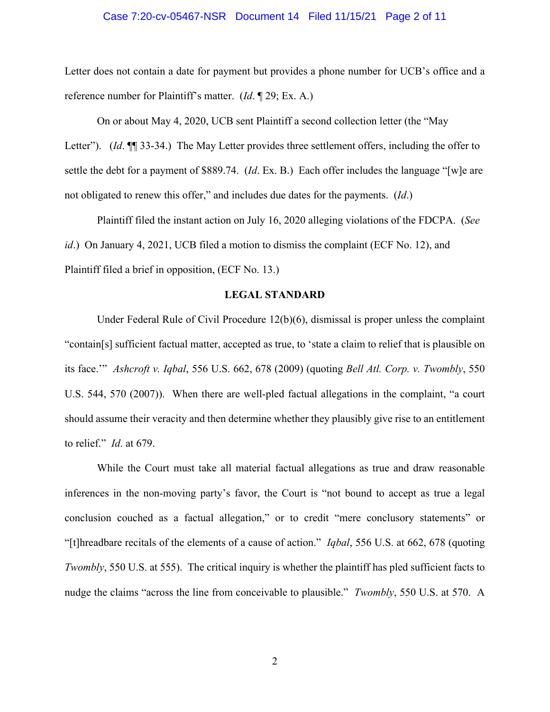#### Case 7:20-cv-05467-NSR Document 14 Filed 11/15/21 Page 2 of 11

Letter does not contain a date for payment but provides a phone number for UCB's office and a reference number for Plaintiff's matter. (*Id*. ¶ 29; Ex. A.)

On or about May 4, 2020, UCB sent Plaintiff a second collection letter (the "May Letter"). (*Id.*  $\P$  33-34.) The May Letter provides three settlement offers, including the offer to settle the debt for a payment of \$889.74. (*Id*. Ex. B.) Each offer includes the language "[w]e are not obligated to renew this offer," and includes due dates for the payments. (*Id*.)

Plaintiff filed the instant action on July 16, 2020 alleging violations of the FDCPA. (*See id*.) On January 4, 2021, UCB filed a motion to dismiss the complaint (ECF No. 12), and Plaintiff filed a brief in opposition, (ECF No. 13.)

## **LEGAL STANDARD**

Under Federal Rule of Civil Procedure 12(b)(6), dismissal is proper unless the complaint "contain[s] sufficient factual matter, accepted as true, to 'state a claim to relief that is plausible on its face.'" *Ashcroft v. Iqbal*, 556 U.S. 662, 678 (2009) (quoting *Bell Atl. Corp. v. Twombly*, 550 U.S. 544, 570 (2007)). When there are well-pled factual allegations in the complaint, "a court should assume their veracity and then determine whether they plausibly give rise to an entitlement to relief." *Id*. at 679.

While the Court must take all material factual allegations as true and draw reasonable inferences in the non-moving party's favor, the Court is "not bound to accept as true a legal conclusion couched as a factual allegation," or to credit "mere conclusory statements" or "[t]hreadbare recitals of the elements of a cause of action." *Iqbal*, 556 U.S. at 662, 678 (quoting *Twombly*, 550 U.S. at 555). The critical inquiry is whether the plaintiff has pled sufficient facts to nudge the claims "across the line from conceivable to plausible." *Twombly*, 550 U.S. at 570. A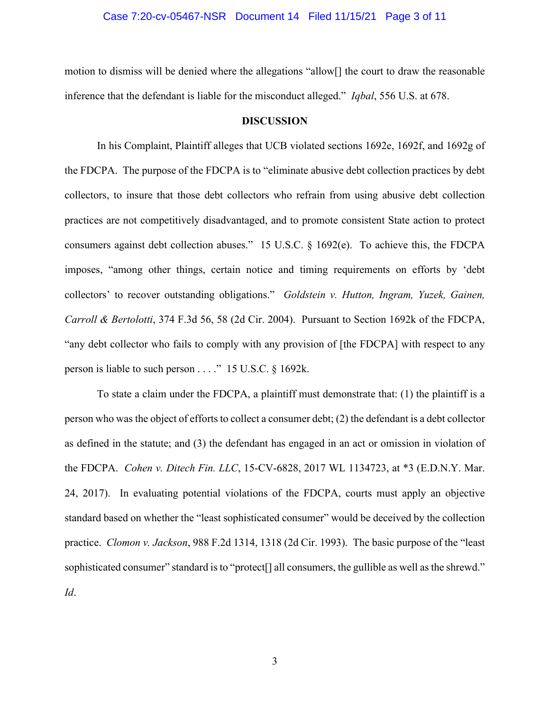#### Case 7:20-cv-05467-NSR Document 14 Filed 11/15/21 Page 3 of 11

motion to dismiss will be denied where the allegations "allow[] the court to draw the reasonable inference that the defendant is liable for the misconduct alleged." *Iqbal*, 556 U.S. at 678.

#### **DISCUSSION**

In his Complaint, Plaintiff alleges that UCB violated sections 1692e, 1692f, and 1692g of the FDCPA. The purpose of the FDCPA is to "eliminate abusive debt collection practices by debt collectors, to insure that those debt collectors who refrain from using abusive debt collection practices are not competitively disadvantaged, and to promote consistent State action to protect consumers against debt collection abuses." 15 U.S.C. § 1692(e). To achieve this, the FDCPA imposes, "among other things, certain notice and timing requirements on efforts by 'debt collectors' to recover outstanding obligations." *Goldstein v. Hutton, Ingram, Yuzek, Gainen, Carroll & Bertolotti*, 374 F.3d 56, 58 (2d Cir. 2004). Pursuant to Section 1692k of the FDCPA, "any debt collector who fails to comply with any provision of [the FDCPA] with respect to any person is liable to such person . . . ." 15 U.S.C. § 1692k.

To state a claim under the FDCPA, a plaintiff must demonstrate that: (1) the plaintiff is a person who was the object of efforts to collect a consumer debt; (2) the defendant is a debt collector as defined in the statute; and (3) the defendant has engaged in an act or omission in violation of the FDCPA. *Cohen v. Ditech Fin. LLC*, 15-CV-6828, 2017 WL 1134723, at \*3 (E.D.N.Y. Mar. 24, 2017). In evaluating potential violations of the FDCPA, courts must apply an objective standard based on whether the "least sophisticated consumer" would be deceived by the collection practice. *Clomon v. Jackson*, 988 F.2d 1314, 1318 (2d Cir. 1993). The basic purpose of the "least sophisticated consumer" standard is to "protect<sup>[]</sup> all consumers, the gullible as well as the shrewd." *Id*.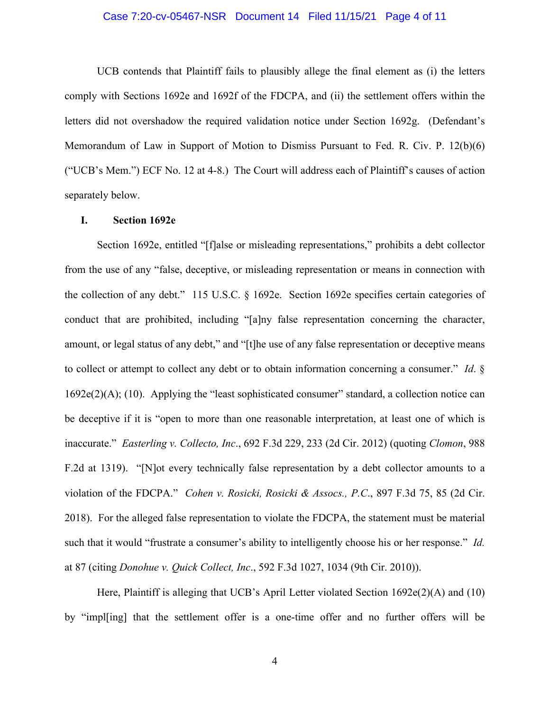### Case 7:20-cv-05467-NSR Document 14 Filed 11/15/21 Page 4 of 11

UCB contends that Plaintiff fails to plausibly allege the final element as (i) the letters comply with Sections 1692e and 1692f of the FDCPA, and (ii) the settlement offers within the letters did not overshadow the required validation notice under Section 1692g. (Defendant's Memorandum of Law in Support of Motion to Dismiss Pursuant to Fed. R. Civ. P. 12(b)(6) ("UCB's Mem.") ECF No. 12 at 4-8.) The Court will address each of Plaintiff's causes of action separately below.

#### **I. Section 1692e**

Section 1692e, entitled "[f]alse or misleading representations," prohibits a debt collector from the use of any "false, deceptive, or misleading representation or means in connection with the collection of any debt." 115 U.S.C. § 1692e. Section 1692e specifies certain categories of conduct that are prohibited, including "[a]ny false representation concerning the character, amount, or legal status of any debt," and "[t]he use of any false representation or deceptive means to collect or attempt to collect any debt or to obtain information concerning a consumer." *Id*. §  $1692e(2)$ (A); (10). Applying the "least sophisticated consumer" standard, a collection notice can be deceptive if it is "open to more than one reasonable interpretation, at least one of which is inaccurate." *Easterling v. Collecto, Inc*., 692 F.3d 229, 233 (2d Cir. 2012) (quoting *Clomon*, 988 F.2d at 1319). "[N]ot every technically false representation by a debt collector amounts to a violation of the FDCPA." *Cohen v. Rosicki, Rosicki & Assocs., P.C*., 897 F.3d 75, 85 (2d Cir. 2018). For the alleged false representation to violate the FDCPA, the statement must be material such that it would "frustrate a consumer's ability to intelligently choose his or her response." *Id.* at 87 (citing *Donohue v. Quick Collect, Inc*., 592 F.3d 1027, 1034 (9th Cir. 2010)).

Here, Plaintiff is alleging that UCB's April Letter violated Section 1692e(2)(A) and (10) by "impl[ing] that the settlement offer is a one-time offer and no further offers will be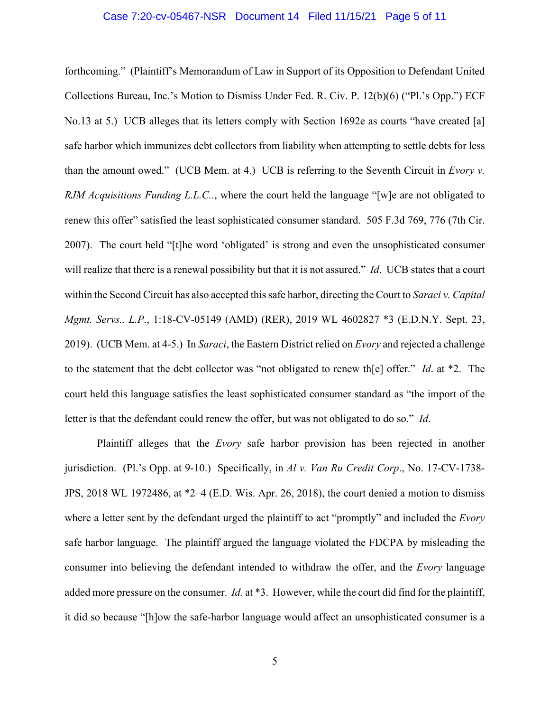### Case 7:20-cv-05467-NSR Document 14 Filed 11/15/21 Page 5 of 11

forthcoming." (Plaintiff's Memorandum of Law in Support of its Opposition to Defendant United Collections Bureau, Inc.'s Motion to Dismiss Under Fed. R. Civ. P. 12(b)(6) ("Pl.'s Opp.") ECF No.13 at 5.) UCB alleges that its letters comply with Section 1692e as courts "have created [a] safe harbor which immunizes debt collectors from liability when attempting to settle debts for less than the amount owed." (UCB Mem. at 4.) UCB is referring to the Seventh Circuit in *Evory v. RJM Acquisitions Funding L.L.C..*, where the court held the language "[w]e are not obligated to renew this offer" satisfied the least sophisticated consumer standard. 505 F.3d 769, 776 (7th Cir. 2007). The court held "[t]he word 'obligated' is strong and even the unsophisticated consumer will realize that there is a renewal possibility but that it is not assured." *Id*. UCB states that a court within the Second Circuit has also accepted this safe harbor, directing the Court to *Saraci v. Capital Mgmt. Servs., L.P*., 1:18-CV-05149 (AMD) (RER), 2019 WL 4602827 \*3 (E.D.N.Y. Sept. 23, 2019). (UCB Mem. at 4-5.) In *Saraci*, the Eastern District relied on *Evory* and rejected a challenge to the statement that the debt collector was "not obligated to renew th[e] offer." *Id*. at \*2. The court held this language satisfies the least sophisticated consumer standard as "the import of the letter is that the defendant could renew the offer, but was not obligated to do so." *Id*.

Plaintiff alleges that the *Evory* safe harbor provision has been rejected in another jurisdiction. (Pl.'s Opp. at 9-10.) Specifically, in *Al v. Van Ru Credit Corp*., No. 17-CV-1738- JPS, 2018 WL 1972486, at \*2–4 (E.D. Wis. Apr. 26, 2018), the court denied a motion to dismiss where a letter sent by the defendant urged the plaintiff to act "promptly" and included the *Evory* safe harbor language. The plaintiff argued the language violated the FDCPA by misleading the consumer into believing the defendant intended to withdraw the offer, and the *Evory* language added more pressure on the consumer. *Id*. at \*3. However, while the court did find for the plaintiff, it did so because "[h]ow the safe-harbor language would affect an unsophisticated consumer is a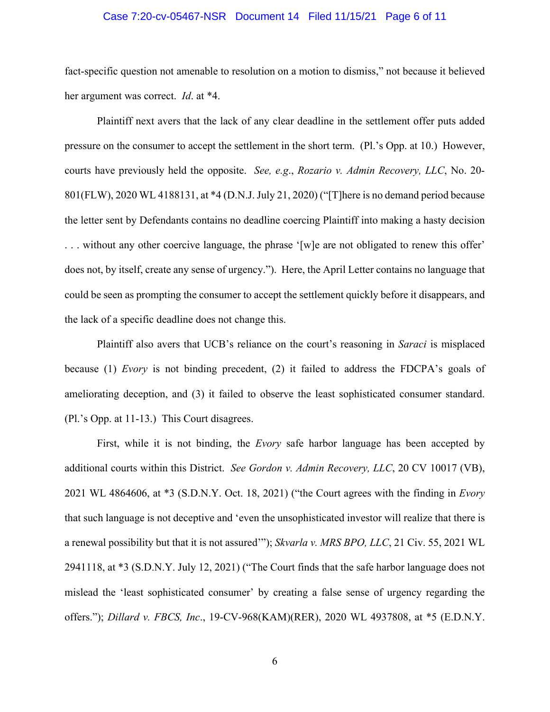### Case 7:20-cv-05467-NSR Document 14 Filed 11/15/21 Page 6 of 11

fact-specific question not amenable to resolution on a motion to dismiss," not because it believed her argument was correct. *Id*. at \*4.

Plaintiff next avers that the lack of any clear deadline in the settlement offer puts added pressure on the consumer to accept the settlement in the short term. (Pl.'s Opp. at 10.) However, courts have previously held the opposite. *See, e.g*., *Rozario v. Admin Recovery, LLC*, No. 20- 801(FLW), 2020 WL 4188131, at \*4 (D.N.J. July 21, 2020) ("[T]here is no demand period because the letter sent by Defendants contains no deadline coercing Plaintiff into making a hasty decision . . . without any other coercive language, the phrase '[w]e are not obligated to renew this offer' does not, by itself, create any sense of urgency."). Here, the April Letter contains no language that could be seen as prompting the consumer to accept the settlement quickly before it disappears, and the lack of a specific deadline does not change this.

Plaintiff also avers that UCB's reliance on the court's reasoning in *Saraci* is misplaced because (1) *Evory* is not binding precedent, (2) it failed to address the FDCPA's goals of ameliorating deception, and (3) it failed to observe the least sophisticated consumer standard. (Pl.'s Opp. at 11-13.) This Court disagrees.

First, while it is not binding, the *Evory* safe harbor language has been accepted by additional courts within this District. *See Gordon v. Admin Recovery, LLC*, 20 CV 10017 (VB), 2021 WL 4864606, at \*3 (S.D.N.Y. Oct. 18, 2021) ("the Court agrees with the finding in *Evory* that such language is not deceptive and 'even the unsophisticated investor will realize that there is a renewal possibility but that it is not assured'"); *Skvarla v. MRS BPO, LLC*, 21 Civ. 55, 2021 WL 2941118, at \*3 (S.D.N.Y. July 12, 2021) ("The Court finds that the safe harbor language does not mislead the 'least sophisticated consumer' by creating a false sense of urgency regarding the offers."); *Dillard v. FBCS, Inc*., 19-CV-968(KAM)(RER), 2020 WL 4937808, at \*5 (E.D.N.Y.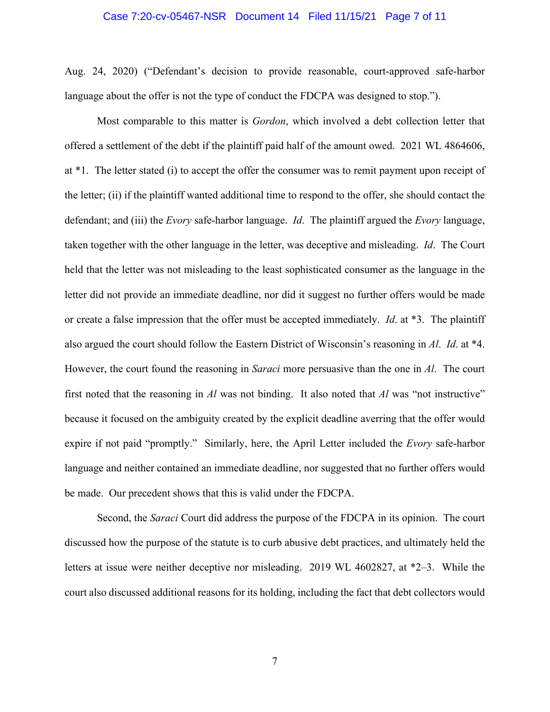#### Case 7:20-cv-05467-NSR Document 14 Filed 11/15/21 Page 7 of 11

Aug. 24, 2020) ("Defendant's decision to provide reasonable, court-approved safe-harbor language about the offer is not the type of conduct the FDCPA was designed to stop.").

Most comparable to this matter is *Gordon*, which involved a debt collection letter that offered a settlement of the debt if the plaintiff paid half of the amount owed. 2021 WL 4864606, at \*1. The letter stated (i) to accept the offer the consumer was to remit payment upon receipt of the letter; (ii) if the plaintiff wanted additional time to respond to the offer, she should contact the defendant; and (iii) the *Evory* safe-harbor language. *Id*. The plaintiff argued the *Evory* language, taken together with the other language in the letter, was deceptive and misleading. *Id*. The Court held that the letter was not misleading to the least sophisticated consumer as the language in the letter did not provide an immediate deadline, nor did it suggest no further offers would be made or create a false impression that the offer must be accepted immediately. *Id*. at \*3. The plaintiff also argued the court should follow the Eastern District of Wisconsin's reasoning in *Al*. *Id*. at \*4. However, the court found the reasoning in *Saraci* more persuasive than the one in *Al*. The court first noted that the reasoning in *Al* was not binding. It also noted that *Al* was "not instructive" because it focused on the ambiguity created by the explicit deadline averring that the offer would expire if not paid "promptly." Similarly, here, the April Letter included the *Evory* safe-harbor language and neither contained an immediate deadline, nor suggested that no further offers would be made. Our precedent shows that this is valid under the FDCPA.

Second, the *Saraci* Court did address the purpose of the FDCPA in its opinion. The court discussed how the purpose of the statute is to curb abusive debt practices, and ultimately held the letters at issue were neither deceptive nor misleading. 2019 WL 4602827, at \*2–3. While the court also discussed additional reasons for its holding, including the fact that debt collectors would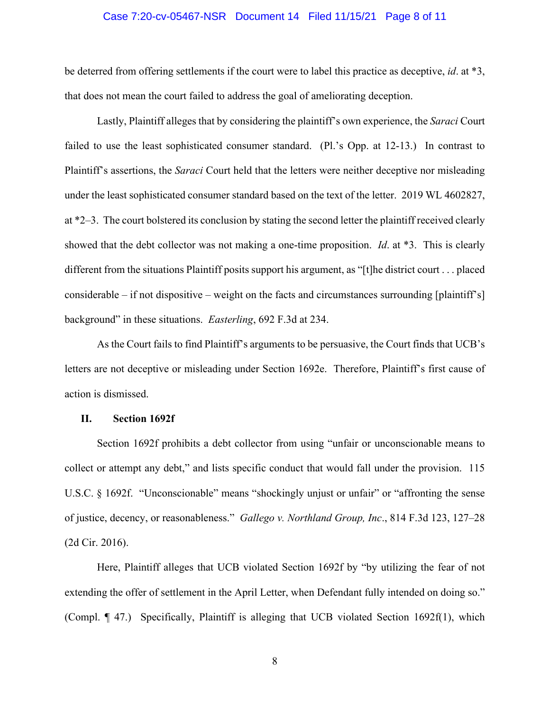### Case 7:20-cv-05467-NSR Document 14 Filed 11/15/21 Page 8 of 11

be deterred from offering settlements if the court were to label this practice as deceptive, *id*. at \*3, that does not mean the court failed to address the goal of ameliorating deception.

Lastly, Plaintiff alleges that by considering the plaintiff's own experience, the *Saraci* Court failed to use the least sophisticated consumer standard. (Pl.'s Opp. at 12-13.) In contrast to Plaintiff's assertions, the *Saraci* Court held that the letters were neither deceptive nor misleading under the least sophisticated consumer standard based on the text of the letter. 2019 WL 4602827, at \*2–3. The court bolstered its conclusion by stating the second letter the plaintiff received clearly showed that the debt collector was not making a one-time proposition. *Id*. at \*3. This is clearly different from the situations Plaintiff posits support his argument, as "[t]he district court . . . placed considerable – if not dispositive – weight on the facts and circumstances surrounding [plaintiff's] background" in these situations. *Easterling*, 692 F.3d at 234.

As the Court fails to find Plaintiff's arguments to be persuasive, the Court finds that UCB's letters are not deceptive or misleading under Section 1692e. Therefore, Plaintiff's first cause of action is dismissed.

### **II. Section 1692f**

Section 1692f prohibits a debt collector from using "unfair or unconscionable means to collect or attempt any debt," and lists specific conduct that would fall under the provision. 115 U.S.C. § 1692f. "Unconscionable" means "shockingly unjust or unfair" or "affronting the sense of justice, decency, or reasonableness." *Gallego v. Northland Group, Inc*., 814 F.3d 123, 127–28 (2d Cir. 2016).

Here, Plaintiff alleges that UCB violated Section 1692f by "by utilizing the fear of not extending the offer of settlement in the April Letter, when Defendant fully intended on doing so." (Compl. ¶ 47.) Specifically, Plaintiff is alleging that UCB violated Section 1692f(1), which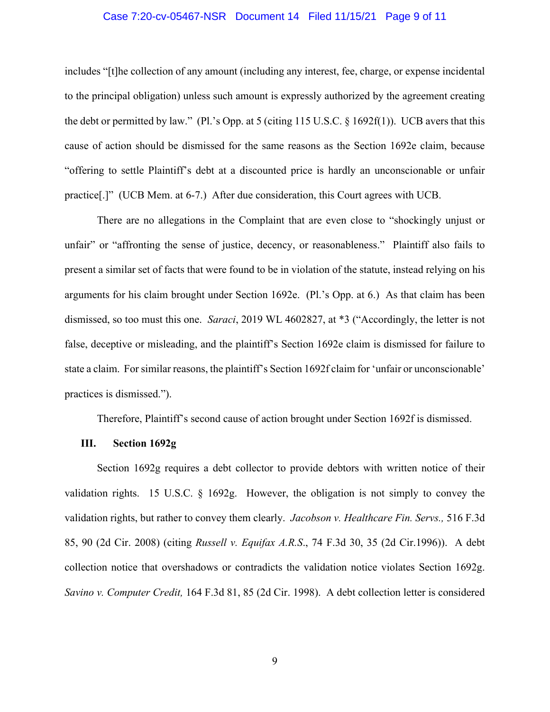### Case 7:20-cv-05467-NSR Document 14 Filed 11/15/21 Page 9 of 11

includes "[t]he collection of any amount (including any interest, fee, charge, or expense incidental to the principal obligation) unless such amount is expressly authorized by the agreement creating the debt or permitted by law." (Pl.'s Opp. at 5 (citing 115 U.S.C. § 1692f(1)). UCB avers that this cause of action should be dismissed for the same reasons as the Section 1692e claim, because "offering to settle Plaintiff's debt at a discounted price is hardly an unconscionable or unfair practice[.]" (UCB Mem. at 6-7.) After due consideration, this Court agrees with UCB.

There are no allegations in the Complaint that are even close to "shockingly unjust or unfair" or "affronting the sense of justice, decency, or reasonableness." Plaintiff also fails to present a similar set of facts that were found to be in violation of the statute, instead relying on his arguments for his claim brought under Section 1692e. (Pl.'s Opp. at 6.) As that claim has been dismissed, so too must this one. *Saraci*, 2019 WL 4602827, at \*3 ("Accordingly, the letter is not false, deceptive or misleading, and the plaintiff's Section 1692e claim is dismissed for failure to state a claim. For similar reasons, the plaintiff's Section 1692f claim for 'unfair or unconscionable' practices is dismissed.").

Therefore, Plaintiff's second cause of action brought under Section 1692f is dismissed.

### **III. Section 1692g**

Section 1692g requires a debt collector to provide debtors with written notice of their validation rights. 15 U.S.C. § 1692g. However, the obligation is not simply to convey the validation rights, but rather to convey them clearly. *Jacobson v. Healthcare Fin. Servs.,* 516 F.3d 85, 90 (2d Cir. 2008) (citing *Russell v. Equifax A.R.S*., 74 F.3d 30, 35 (2d Cir.1996)). A debt collection notice that overshadows or contradicts the validation notice violates Section 1692g. *Savino v. Computer Credit,* 164 F.3d 81, 85 (2d Cir. 1998). A debt collection letter is considered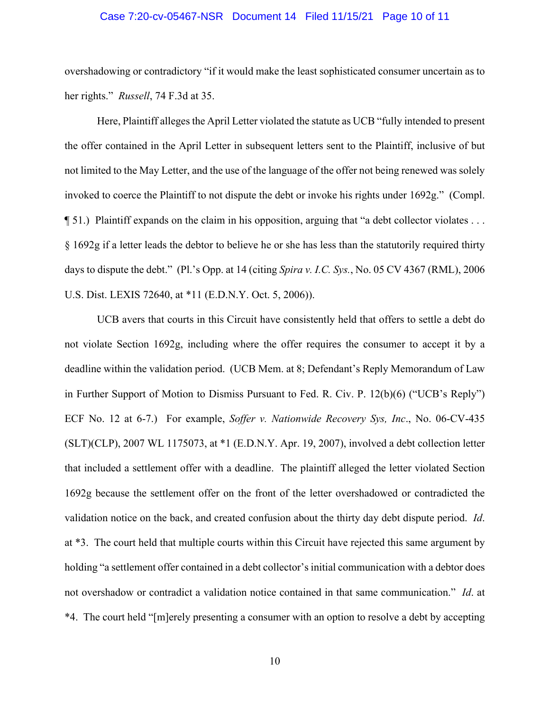### Case 7:20-cv-05467-NSR Document 14 Filed 11/15/21 Page 10 of 11

overshadowing or contradictory "if it would make the least sophisticated consumer uncertain as to her rights." *Russell*, 74 F.3d at 35.

Here, Plaintiff alleges the April Letter violated the statute as UCB "fully intended to present the offer contained in the April Letter in subsequent letters sent to the Plaintiff, inclusive of but not limited to the May Letter, and the use of the language of the offer not being renewed was solely invoked to coerce the Plaintiff to not dispute the debt or invoke his rights under 1692g." (Compl. ¶ 51.) Plaintiff expands on the claim in his opposition, arguing that "a debt collector violates . . . § 1692g if a letter leads the debtor to believe he or she has less than the statutorily required thirty days to dispute the debt." (Pl.'s Opp. at 14 (citing *Spira v. I.C. Sys.*, No. 05 CV 4367 (RML), 2006 U.S. Dist. LEXIS 72640, at \*11 (E.D.N.Y. Oct. 5, 2006)).

UCB avers that courts in this Circuit have consistently held that offers to settle a debt do not violate Section 1692g, including where the offer requires the consumer to accept it by a deadline within the validation period. (UCB Mem. at 8; Defendant's Reply Memorandum of Law in Further Support of Motion to Dismiss Pursuant to Fed. R. Civ. P. 12(b)(6) ("UCB's Reply") ECF No. 12 at 6-7.) For example, *Soffer v. Nationwide Recovery Sys, Inc*., No. 06-CV-435 (SLT)(CLP), 2007 WL 1175073, at \*1 (E.D.N.Y. Apr. 19, 2007), involved a debt collection letter that included a settlement offer with a deadline. The plaintiff alleged the letter violated Section 1692g because the settlement offer on the front of the letter overshadowed or contradicted the validation notice on the back, and created confusion about the thirty day debt dispute period. *Id*. at \*3. The court held that multiple courts within this Circuit have rejected this same argument by holding "a settlement offer contained in a debt collector's initial communication with a debtor does not overshadow or contradict a validation notice contained in that same communication." *Id*. at \*4. The court held "[m]erely presenting a consumer with an option to resolve a debt by accepting